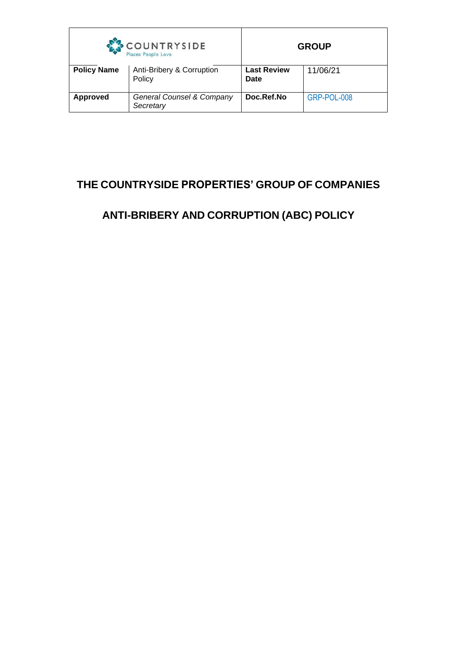| COUNTRYSIDE<br>Places People Love |                                        | <b>GROUP</b>                      |             |
|-----------------------------------|----------------------------------------|-----------------------------------|-------------|
| <b>Policy Name</b>                | Anti-Bribery & Corruption<br>Policy    | <b>Last Review</b><br><b>Date</b> | 11/06/21    |
| <b>Approved</b>                   | General Counsel & Company<br>Secretary | Doc.Ref.No                        | GRP-POL-008 |

# **THE COUNTRYSIDE PROPERTIES' GROUP OF COMPANIES**

# **ANTI-BRIBERY AND CORRUPTION (ABC) POLICY**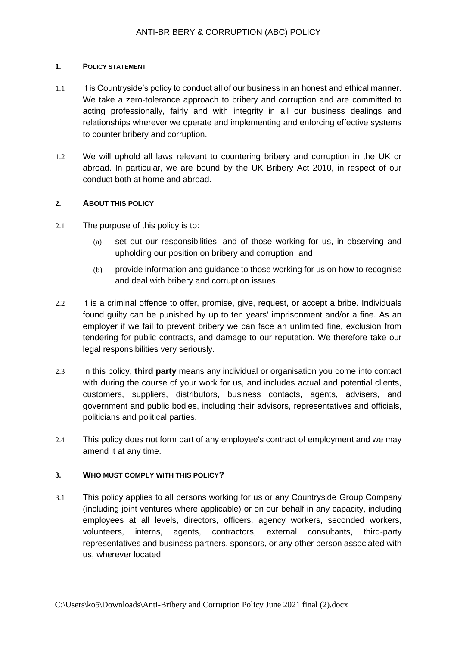### **1. POLICY STATEMENT**

- 1.1 It is Countryside's policy to conduct all of our business in an honest and ethical manner. We take a zero-tolerance approach to bribery and corruption and are committed to acting professionally, fairly and with integrity in all our business dealings and relationships wherever we operate and implementing and enforcing effective systems to counter bribery and corruption.
- 1.2 We will uphold all laws relevant to countering bribery and corruption in the UK or abroad. In particular, we are bound by the UK Bribery Act 2010, in respect of our conduct both at home and abroad.

## **2. ABOUT THIS POLICY**

- 2.1 The purpose of this policy is to:
	- (a) set out our responsibilities, and of those working for us, in observing and upholding our position on bribery and corruption; and
	- (b) provide information and guidance to those working for us on how to recognise and deal with bribery and corruption issues.
- 2.2 It is a criminal offence to offer, promise, give, request, or accept a bribe. Individuals found guilty can be punished by up to ten years' imprisonment and/or a fine. As an employer if we fail to prevent bribery we can face an unlimited fine, exclusion from tendering for public contracts, and damage to our reputation. We therefore take our legal responsibilities very seriously.
- 2.3 In this policy, **third party** means any individual or organisation you come into contact with during the course of your work for us, and includes actual and potential clients, customers, suppliers, distributors, business contacts, agents, advisers, and government and public bodies, including their advisors, representatives and officials, politicians and political parties.
- 2.4 This policy does not form part of any employee's contract of employment and we may amend it at any time.

## **3. WHO MUST COMPLY WITH THIS POLICY?**

3.1 This policy applies to all persons working for us or any Countryside Group Company (including joint ventures where applicable) or on our behalf in any capacity, including employees at all levels, directors, officers, agency workers, seconded workers, volunteers, interns, agents, contractors, external consultants, third-party representatives and business partners, sponsors, or any other person associated with us, wherever located.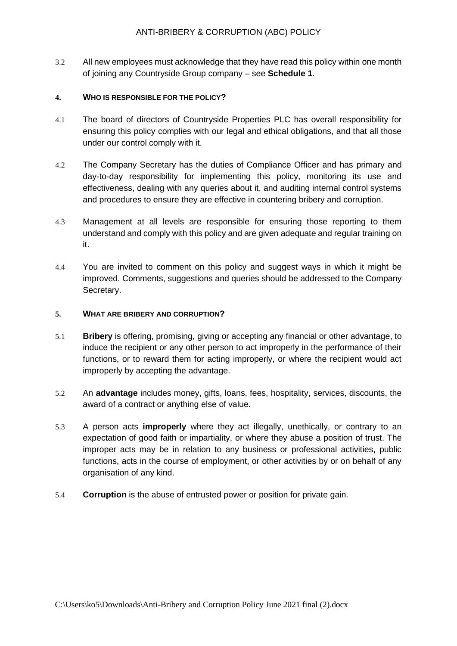3.2 All new employees must acknowledge that they have read this policy within one month of joining any Countryside Group company – see **Schedule 1**.

## **4. WHO IS RESPONSIBLE FOR THE POLICY?**

- 4.1 The board of directors of Countryside Properties PLC has overall responsibility for ensuring this policy complies with our legal and ethical obligations, and that all those under our control comply with it.
- 4.2 The Company Secretary has the duties of Compliance Officer and has primary and day-to-day responsibility for implementing this policy, monitoring its use and effectiveness, dealing with any queries about it, and auditing internal control systems and procedures to ensure they are effective in countering bribery and corruption.
- 4.3 Management at all levels are responsible for ensuring those reporting to them understand and comply with this policy and are given adequate and regular training on it.
- 4.4 You are invited to comment on this policy and suggest ways in which it might be improved. Comments, suggestions and queries should be addressed to the Company Secretary.

## **5. WHAT ARE BRIBERY AND CORRUPTION?**

- 5.1 **Bribery** is offering, promising, giving or accepting any financial or other advantage, to induce the recipient or any other person to act improperly in the performance of their functions, or to reward them for acting improperly, or where the recipient would act improperly by accepting the advantage.
- 5.2 An **advantage** includes money, gifts, loans, fees, hospitality, services, discounts, the award of a contract or anything else of value.
- 5.3 A person acts **improperly** where they act illegally, unethically, or contrary to an expectation of good faith or impartiality, or where they abuse a position of trust. The improper acts may be in relation to any business or professional activities, public functions, acts in the course of employment, or other activities by or on behalf of any organisation of any kind.
- 5.4 **Corruption** is the abuse of entrusted power or position for private gain.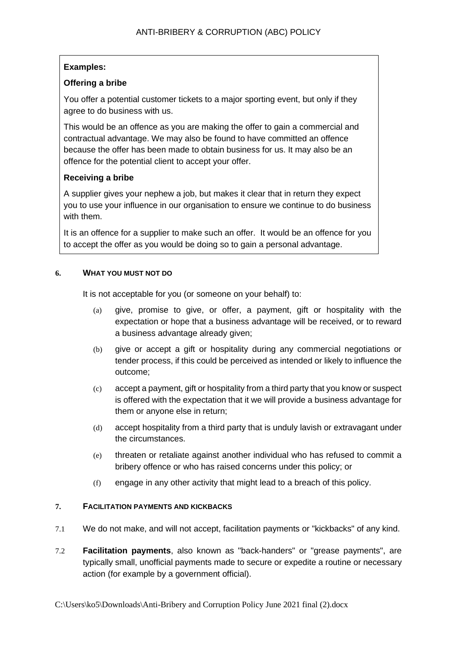## **Examples:**

## **Offering a bribe**

You offer a potential customer tickets to a major sporting event, but only if they agree to do business with us.

This would be an offence as you are making the offer to gain a commercial and contractual advantage. We may also be found to have committed an offence because the offer has been made to obtain business for us. It may also be an offence for the potential client to accept your offer.

## **Receiving a bribe**

A supplier gives your nephew a job, but makes it clear that in return they expect you to use your influence in our organisation to ensure we continue to do business with them.

It is an offence for a supplier to make such an offer. It would be an offence for you to accept the offer as you would be doing so to gain a personal advantage.

## **6. WHAT YOU MUST NOT DO**

It is not acceptable for you (or someone on your behalf) to:

- (a) give, promise to give, or offer, a payment, gift or hospitality with the expectation or hope that a business advantage will be received, or to reward a business advantage already given;
- (b) give or accept a gift or hospitality during any commercial negotiations or tender process, if this could be perceived as intended or likely to influence the outcome;
- (c) accept a payment, gift or hospitality from a third party that you know or suspect is offered with the expectation that it we will provide a business advantage for them or anyone else in return;
- (d) accept hospitality from a third party that is unduly lavish or extravagant under the circumstances.
- (e) threaten or retaliate against another individual who has refused to commit a bribery offence or who has raised concerns under this policy; or
- (f) engage in any other activity that might lead to a breach of this policy.

#### **7. FACILITATION PAYMENTS AND KICKBACKS**

- 7.1 We do not make, and will not accept, facilitation payments or "kickbacks" of any kind.
- 7.2 **Facilitation payments**, also known as "back-handers" or "grease payments", are typically small, unofficial payments made to secure or expedite a routine or necessary action (for example by a government official).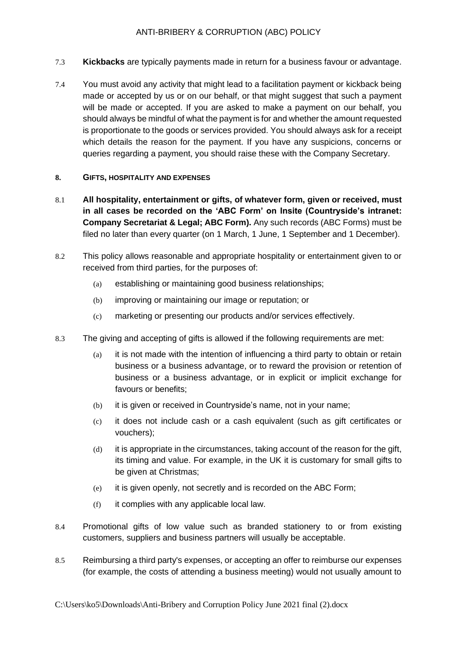- 7.3 **Kickbacks** are typically payments made in return for a business favour or advantage.
- 7.4 You must avoid any activity that might lead to a facilitation payment or kickback being made or accepted by us or on our behalf, or that might suggest that such a payment will be made or accepted. If you are asked to make a payment on our behalf, you should always be mindful of what the payment is for and whether the amount requested is proportionate to the goods or services provided. You should always ask for a receipt which details the reason for the payment. If you have any suspicions, concerns or queries regarding a payment, you should raise these with the Company Secretary.

## **8. GIFTS, HOSPITALITY AND EXPENSES**

- 8.1 **All hospitality, entertainment or gifts, of whatever form, given or received, must in all cases be recorded on the 'ABC Form' on Insite (Countryside's intranet: Company Secretariat & Legal; ABC Form).** Any such records (ABC Forms) must be filed no later than every quarter (on 1 March, 1 June, 1 September and 1 December).
- 8.2 This policy allows reasonable and appropriate hospitality or entertainment given to or received from third parties, for the purposes of:
	- (a) establishing or maintaining good business relationships;
	- (b) improving or maintaining our image or reputation; or
	- (c) marketing or presenting our products and/or services effectively.
- 8.3 The giving and accepting of gifts is allowed if the following requirements are met:
	- (a) it is not made with the intention of influencing a third party to obtain or retain business or a business advantage, or to reward the provision or retention of business or a business advantage, or in explicit or implicit exchange for favours or benefits;
	- (b) it is given or received in Countryside's name, not in your name;
	- (c) it does not include cash or a cash equivalent (such as gift certificates or vouchers);
	- (d) it is appropriate in the circumstances, taking account of the reason for the gift, its timing and value. For example, in the UK it is customary for small gifts to be given at Christmas;
	- (e) it is given openly, not secretly and is recorded on the ABC Form;
	- (f) it complies with any applicable local law.
- 8.4 Promotional gifts of low value such as branded stationery to or from existing customers, suppliers and business partners will usually be acceptable.
- 8.5 Reimbursing a third party's expenses, or accepting an offer to reimburse our expenses (for example, the costs of attending a business meeting) would not usually amount to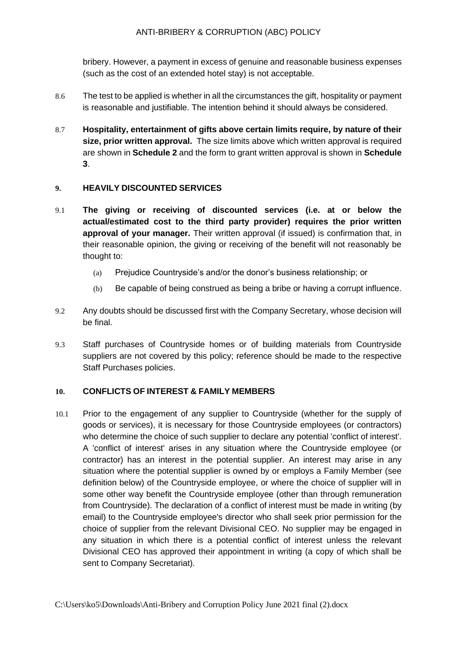bribery. However, a payment in excess of genuine and reasonable business expenses (such as the cost of an extended hotel stay) is not acceptable.

- 8.6 The test to be applied is whether in all the circumstances the gift, hospitality or payment is reasonable and justifiable. The intention behind it should always be considered.
- 8.7 **Hospitality, entertainment of gifts above certain limits require, by nature of their size, prior written approval.** The size limits above which written approval is required are shown in **Schedule 2** and the form to grant written approval is shown in **Schedule 3**.

## **9. HEAVILY DISCOUNTED SERVICES**

- 9.1 **The giving or receiving of discounted services (i.e. at or below the actual/estimated cost to the third party provider) requires the prior written approval of your manager.** Their written approval (if issued) is confirmation that, in their reasonable opinion, the giving or receiving of the benefit will not reasonably be thought to:
	- (a) Prejudice Countryside's and/or the donor's business relationship; or
	- (b) Be capable of being construed as being a bribe or having a corrupt influence.
- 9.2 Any doubts should be discussed first with the Company Secretary, whose decision will be final.
- 9.3 Staff purchases of Countryside homes or of building materials from Countryside suppliers are not covered by this policy; reference should be made to the respective Staff Purchases policies.

## **10. CONFLICTS OF INTEREST & FAMILY MEMBERS**

10.1 Prior to the engagement of any supplier to Countryside (whether for the supply of goods or services), it is necessary for those Countryside employees (or contractors) who determine the choice of such supplier to declare any potential 'conflict of interest'. A 'conflict of interest' arises in any situation where the Countryside employee (or contractor) has an interest in the potential supplier. An interest may arise in any situation where the potential supplier is owned by or employs a Family Member (see definition below) of the Countryside employee, or where the choice of supplier will in some other way benefit the Countryside employee (other than through remuneration from Countryside). The declaration of a conflict of interest must be made in writing (by email) to the Countryside employee's director who shall seek prior permission for the choice of supplier from the relevant Divisional CEO. No supplier may be engaged in any situation in which there is a potential conflict of interest unless the relevant Divisional CEO has approved their appointment in writing (a copy of which shall be sent to Company Secretariat).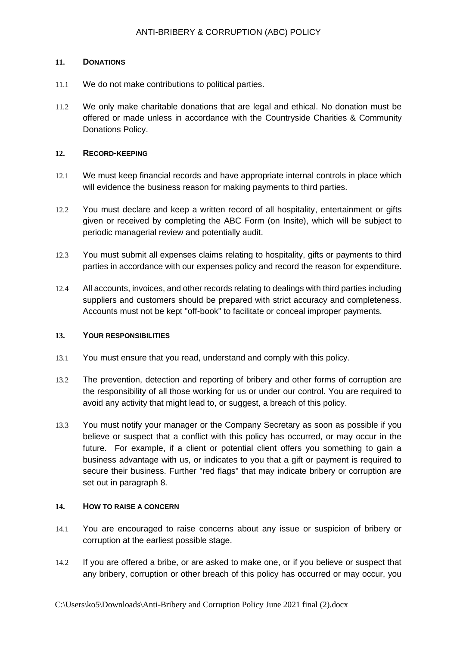## **11. DONATIONS**

- 11.1 We do not make contributions to political parties.
- 11.2 We only make charitable donations that are legal and ethical. No donation must be offered or made unless in accordance with the Countryside Charities & Community Donations Policy.

### **12. RECORD-KEEPING**

- 12.1 We must keep financial records and have appropriate internal controls in place which will evidence the business reason for making payments to third parties.
- 12.2 You must declare and keep a written record of all hospitality, entertainment or gifts given or received by completing the ABC Form (on Insite), which will be subject to periodic managerial review and potentially audit.
- 12.3 You must submit all expenses claims relating to hospitality, gifts or payments to third parties in accordance with our expenses policy and record the reason for expenditure.
- 12.4 All accounts, invoices, and other records relating to dealings with third parties including suppliers and customers should be prepared with strict accuracy and completeness. Accounts must not be kept "off-book" to facilitate or conceal improper payments.

#### **13. YOUR RESPONSIBILITIES**

- 13.1 You must ensure that you read, understand and comply with this policy.
- 13.2 The prevention, detection and reporting of bribery and other forms of corruption are the responsibility of all those working for us or under our control. You are required to avoid any activity that might lead to, or suggest, a breach of this policy.
- 13.3 You must notify your manager or the Company Secretary as soon as possible if you believe or suspect that a conflict with this policy has occurred, or may occur in the future. For example, if a client or potential client offers you something to gain a business advantage with us, or indicates to you that a gift or payment is required to secure their business. Further "red flags" that may indicate bribery or corruption are set out in paragraph 8.

#### **14. HOW TO RAISE A CONCERN**

- 14.1 You are encouraged to raise concerns about any issue or suspicion of bribery or corruption at the earliest possible stage.
- 14.2 If you are offered a bribe, or are asked to make one, or if you believe or suspect that any bribery, corruption or other breach of this policy has occurred or may occur, you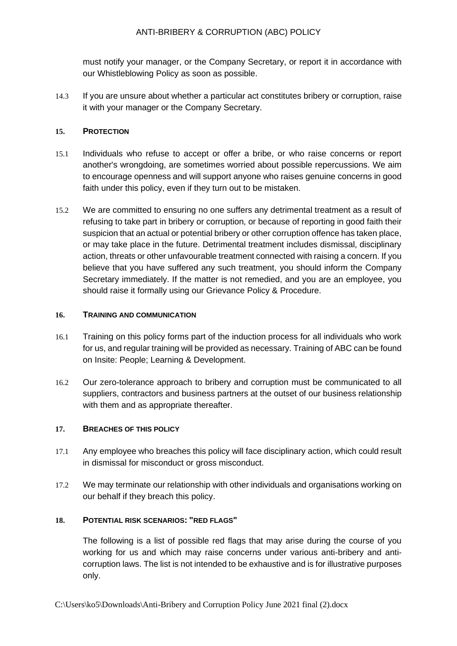must notify your manager, or the Company Secretary, or report it in accordance with our Whistleblowing Policy as soon as possible.

14.3 If you are unsure about whether a particular act constitutes bribery or corruption, raise it with your manager or the Company Secretary.

## **15. PROTECTION**

- 15.1 Individuals who refuse to accept or offer a bribe, or who raise concerns or report another's wrongdoing, are sometimes worried about possible repercussions. We aim to encourage openness and will support anyone who raises genuine concerns in good faith under this policy, even if they turn out to be mistaken.
- 15.2 We are committed to ensuring no one suffers any detrimental treatment as a result of refusing to take part in bribery or corruption, or because of reporting in good faith their suspicion that an actual or potential bribery or other corruption offence has taken place, or may take place in the future. Detrimental treatment includes dismissal, disciplinary action, threats or other unfavourable treatment connected with raising a concern. If you believe that you have suffered any such treatment, you should inform the Company Secretary immediately. If the matter is not remedied, and you are an employee, you should raise it formally using our Grievance Policy & Procedure.

## **16. TRAINING AND COMMUNICATION**

- 16.1 Training on this policy forms part of the induction process for all individuals who work for us, and regular training will be provided as necessary. Training of ABC can be found on Insite: People; Learning & Development.
- 16.2 Our zero-tolerance approach to bribery and corruption must be communicated to all suppliers, contractors and business partners at the outset of our business relationship with them and as appropriate thereafter.

## **17. BREACHES OF THIS POLICY**

- 17.1 Any employee who breaches this policy will face disciplinary action, which could result in dismissal for misconduct or gross misconduct.
- 17.2 We may terminate our relationship with other individuals and organisations working on our behalf if they breach this policy.

## **18. POTENTIAL RISK SCENARIOS: "RED FLAGS"**

The following is a list of possible red flags that may arise during the course of you working for us and which may raise concerns under various anti-bribery and anticorruption laws. The list is not intended to be exhaustive and is for illustrative purposes only.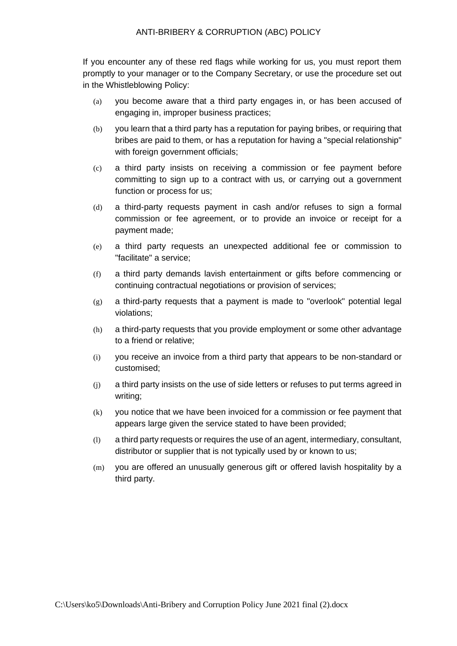If you encounter any of these red flags while working for us, you must report them promptly to your manager or to the Company Secretary, or use the procedure set out in the Whistleblowing Policy:

- (a) you become aware that a third party engages in, or has been accused of engaging in, improper business practices;
- (b) you learn that a third party has a reputation for paying bribes, or requiring that bribes are paid to them, or has a reputation for having a "special relationship" with foreign government officials;
- (c) a third party insists on receiving a commission or fee payment before committing to sign up to a contract with us, or carrying out a government function or process for us;
- (d) a third-party requests payment in cash and/or refuses to sign a formal commission or fee agreement, or to provide an invoice or receipt for a payment made;
- (e) a third party requests an unexpected additional fee or commission to "facilitate" a service;
- (f) a third party demands lavish entertainment or gifts before commencing or continuing contractual negotiations or provision of services;
- (g) a third-party requests that a payment is made to "overlook" potential legal violations;
- (h) a third-party requests that you provide employment or some other advantage to a friend or relative;
- (i) you receive an invoice from a third party that appears to be non-standard or customised;
- (j) a third party insists on the use of side letters or refuses to put terms agreed in writing;
- (k) you notice that we have been invoiced for a commission or fee payment that appears large given the service stated to have been provided;
- (l) a third party requests or requires the use of an agent, intermediary, consultant, distributor or supplier that is not typically used by or known to us;
- (m) you are offered an unusually generous gift or offered lavish hospitality by a third party.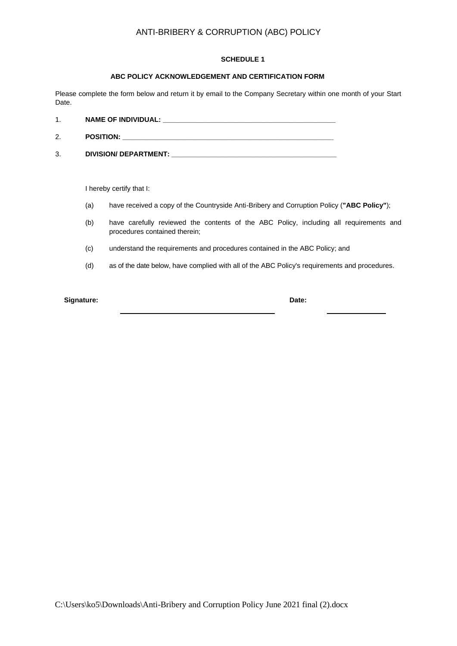#### **SCHEDULE 1**

#### **ABC POLICY ACKNOWLEDGEMENT AND CERTIFICATION FORM**

Please complete the form below and return it by email to the Company Secretary within one month of your Start Date.

| . . | <b>NAME OF INDIVIDUAL:</b><br>$\sim$ |  |
|-----|--------------------------------------|--|
|     |                                      |  |

- 2. **POSITION: \_\_\_\_\_\_\_\_\_\_\_\_\_\_\_\_\_\_\_\_\_\_\_\_\_\_\_\_\_\_\_\_\_\_\_\_\_\_\_\_\_\_\_\_\_\_\_\_\_\_\_\_\_\_\_**
- 3. **DIVISION/ DEPARTMENT: \_\_\_\_\_\_\_\_\_\_\_\_\_\_\_\_\_\_\_\_\_\_\_\_\_\_\_\_\_\_\_\_\_\_\_\_\_\_\_\_\_\_\_**

I hereby certify that I:

- (a) have received a copy of the Countryside Anti-Bribery and Corruption Policy (**"ABC Policy"**);
- (b) have carefully reviewed the contents of the ABC Policy, including all requirements and procedures contained therein;
- (c) understand the requirements and procedures contained in the ABC Policy; and
- (d) as of the date below, have complied with all of the ABC Policy's requirements and procedures.

**Signature: Date:**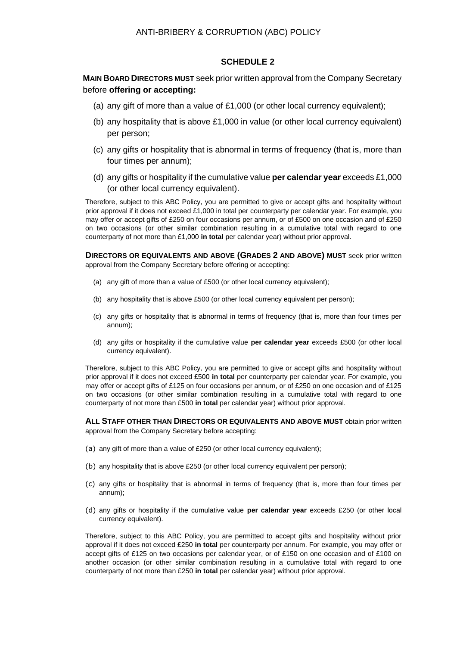### **SCHEDULE 2**

## **MAIN BOARD DIRECTORS MUST** seek prior written approval from the Company Secretary before **offering or accepting:**

- (a) any gift of more than a value of  $£1,000$  (or other local currency equivalent);
- (b) any hospitality that is above  $£1,000$  in value (or other local currency equivalent) per person;
- (c) any gifts or hospitality that is abnormal in terms of frequency (that is, more than four times per annum);
- (d) any gifts or hospitality if the cumulative value **per calendar year** exceeds £1,000 (or other local currency equivalent).

Therefore, subject to this ABC Policy, you are permitted to give or accept gifts and hospitality without prior approval if it does not exceed £1,000 in total per counterparty per calendar year. For example, you may offer or accept gifts of £250 on four occasions per annum, or of £500 on one occasion and of £250 on two occasions (or other similar combination resulting in a cumulative total with regard to one counterparty of not more than £1,000 **in total** per calendar year) without prior approval.

**DIRECTORS OR EQUIVALENTS AND ABOVE (GRADES 2 AND ABOVE) MUST** seek prior written approval from the Company Secretary before offering or accepting:

- (a) any gift of more than a value of £500 (or other local currency equivalent);
- (b) any hospitality that is above £500 (or other local currency equivalent per person);
- (c) any gifts or hospitality that is abnormal in terms of frequency (that is, more than four times per annum);
- (d) any gifts or hospitality if the cumulative value **per calendar year** exceeds £500 (or other local currency equivalent).

Therefore, subject to this ABC Policy, you are permitted to give or accept gifts and hospitality without prior approval if it does not exceed £500 **in total** per counterparty per calendar year. For example, you may offer or accept gifts of £125 on four occasions per annum, or of £250 on one occasion and of £125 on two occasions (or other similar combination resulting in a cumulative total with regard to one counterparty of not more than £500 **in total** per calendar year) without prior approval.

**ALL STAFF OTHER THAN DIRECTORS OR EQUIVALENTS AND ABOVE MUST** obtain prior written approval from the Company Secretary before accepting:

- (a) any gift of more than a value of £250 (or other local currency equivalent);
- (b) any hospitality that is above £250 (or other local currency equivalent per person);
- (c) any gifts or hospitality that is abnormal in terms of frequency (that is, more than four times per annum);
- (d) any gifts or hospitality if the cumulative value **per calendar year** exceeds £250 (or other local currency equivalent).

Therefore, subject to this ABC Policy, you are permitted to accept gifts and hospitality without prior approval if it does not exceed £250 **in total** per counterparty per annum. For example, you may offer or accept gifts of £125 on two occasions per calendar year, or of £150 on one occasion and of £100 on another occasion (or other similar combination resulting in a cumulative total with regard to one counterparty of not more than £250 **in total** per calendar year) without prior approval.